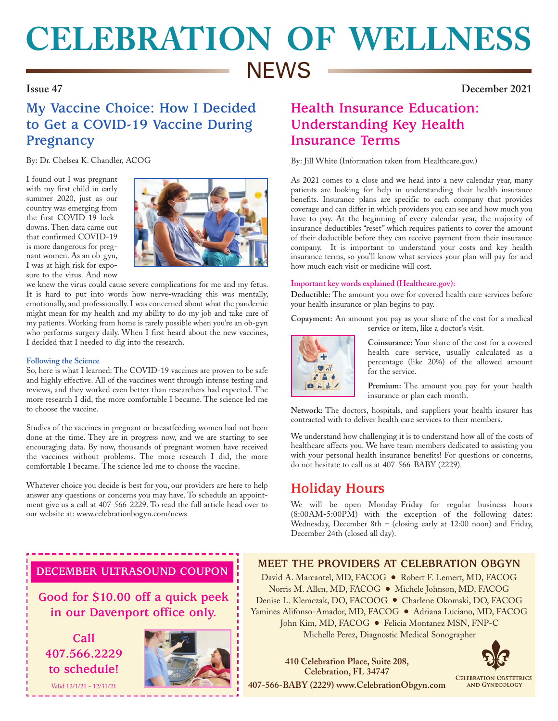# **CELEBRATION OF WELLNESS NEWS**

### **Issue 47 December 2021**

# **My Vaccine Choice: How I Decided to Get a COVID-19 Vaccine During Pregnancy**

By: Dr. Chelsea K. Chandler, ACOG

I found out I was pregnant with my first child in early summer 2020, just as our country was emerging from the first COVID-19 lockdowns. Then data came out that confirmed COVID-19 is more dangerous for pregnant women. As an ob-gyn, I was at high risk for exposure to the virus. And now



we knew the virus could cause severe complications for me and my fetus. It is hard to put into words how nerve-wracking this was mentally, emotionally, and professionally. I was concerned about what the pandemic might mean for my health and my ability to do my job and take care of my patients. Working from home is rarely possible when you're an ob-gyn who performs surgery daily. When I first heard about the new vaccines, I decided that I needed to dig into the research.

#### **Following the Science**

So, here is what I learned: The COVID-19 vaccines are proven to be safe and highly effective. All of the vaccines went through intense testing and reviews, and they worked even better than researchers had expected. The more research I did, the more comfortable I became. The science led me to choose the vaccine.

Studies of the vaccines in pregnant or breastfeeding women had not been done at the time. They are in progress now, and we are starting to see encouraging data. By now, thousands of pregnant women have received the vaccines without problems. The more research I did, the more comfortable I became. The science led me to choose the vaccine.

Whatever choice you decide is best for you, our providers are here to help answer any questions or concerns you may have. To schedule an appointment give us a call at 407-566-2229. To read the full article head over to our website at: www.celebrationbogyn.com/news

# **Health Insurance Education: Understanding Key Health Insurance Terms**

By: Jill White (Information taken from Healthcare.gov.)

As 2021 comes to a close and we head into a new calendar year, many patients are looking for help in understanding their health insurance benefits. Insurance plans are specific to each company that provides coverage and can differ in which providers you can see and how much you have to pay. At the beginning of every calendar year, the majority of insurance deductibles "reset" which requires patients to cover the amount of their deductible before they can receive payment from their insurance company. It is important to understand your costs and key health insurance terms, so you'll know what services your plan will pay for and how much each visit or medicine will cost.

### **Important key words explained (Healthcare.gov):**

**Deductible:** The amount you owe for covered health care services before your health insurance or plan begins to pay.

**Copayment:** An amount you pay as your share of the cost for a medical service or item, like a doctor's visit.



**Coinsurance:** Your share of the cost for a covered health care service, usually calculated as a percentage (like 20%) of the allowed amount for the service.

**Premium:** The amount you pay for your health insurance or plan each month.

**Network:** The doctors, hospitals, and suppliers your health insurer has contracted with to deliver health care services to their members.

We understand how challenging it is to understand how all of the costs of healthcare affects you. We have team members dedicated to assisting you with your personal health insurance benefits! For questions or concerns, do not hesitate to call us at 407-566-BABY (2229).

### **Holiday Hours**

We will be open Monday-Friday for regular business hours  $(8:00AM-5:00P\dot{M})$  with the exception of the following dates: Wednesday, December 8th – (closing early at 12:00 noon) and Friday, December 24th (closed all day).

# **DECEMBER ULTRASOUND COUPON**

-----------------------------

**Good for \$10.00 off a quick peek in our Davenport office only.**

**Call 407.566.2229 to schedule!**

Valid 12/1/21 - 12/31/21



### **MEET THE PROVIDERS AT CELEBRATION OBGYN**

David A. Marcantel, MD, FACOG ● Robert F. Lemert, MD, FACOG Norris M. Allen, MD, FACOG ● Michele Johnson, MD, FACOG Denise L. Klemczak, DO, FACOOG ● Charlene Okomski, DO, FACOG Yamines Alifonso-Amador, MD, FACOG ● Adriana Luciano, MD, FACOG John Kim, MD, FACOG ● Felicia Montanez MSN, FNP-C Michelle Perez, Diagnostic Medical Sonographer



**CELEBRATION OBSTETRICS AND GYNECOLOGY** 

**Celebration, FL 34747 407-566-BABY (2229) www.CelebrationObgyn.com**

**410 Celebration Place, Suite 208,**